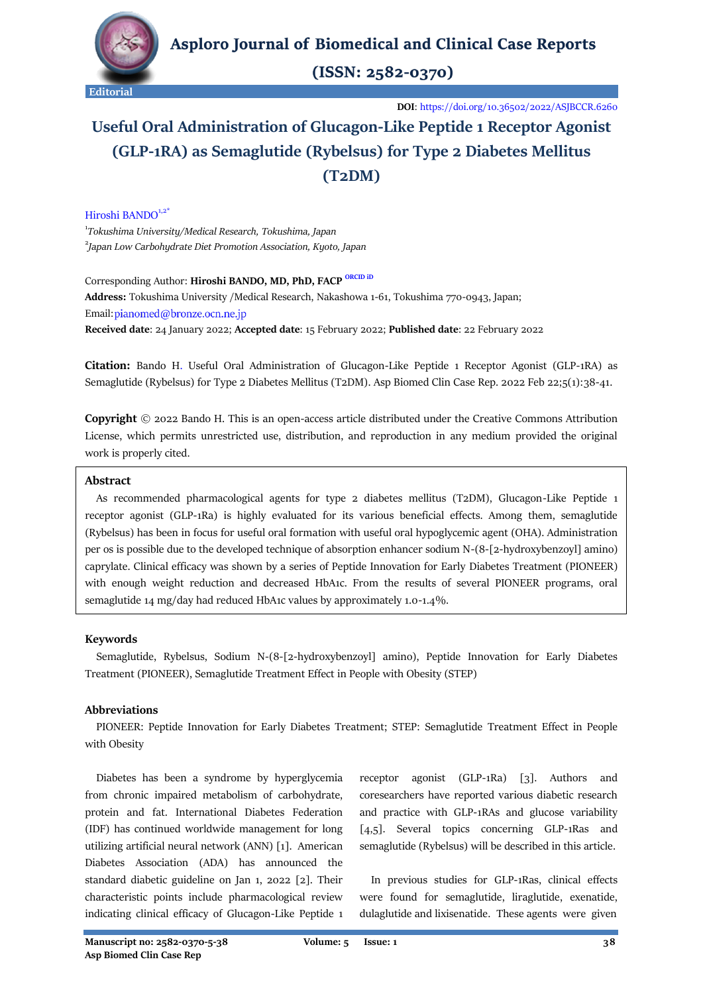

 $(ISSN: 2582-0370)$ 

**DOI**:<https://doi.org/10.36502/2022/ASJBCCR.6260>

# **Useful Oral Administration of Glucagon-Like Peptide 1 Receptor Agonist (GLP-1RA) as Semaglutide (Rybelsus) for Type 2 Diabetes Mellitus (T2DM)**

Hiroshi BANDO<sup>1,2\*</sup>

1 *[Tokushima University/](https://www.tokushima-u.ac.jp/english/)Medical Research, Tokushima, Japan* 2 *Japan Low Carbohydrate Diet Promotion Association, Kyoto, Japan*

Corresponding Author: **Hiroshi BANDO, MD, PhD, FACP [ORCID iD](https://orcid.org/0000-0002-6304-0224) Address:** Tokushima University /Medical Research, Nakashowa 1-61, Tokushima 770-0943, Japan; Email: pianomed@bronze.ocn.ne.jp **Received date**: 24 January 2022; **Accepted date**: 15 February 2022; **Published date**: 22 February 2022

**Citation:** Bando H. Useful Oral Administration of Glucagon-Like Peptide 1 Receptor Agonist (GLP-1RA) as Semaglutide (Rybelsus) for Type 2 Diabetes Mellitus (T2DM). Asp Biomed Clin Case Rep. 2022 Feb 22;5(1):38-41.

**Copyright** © 2022 Bando H. This is an open-access article distributed under the Creative Commons Attribution License, which permits unrestricted use, distribution, and reproduction in any medium provided the original work is properly cited.

# **Abstract**

 As recommended pharmacological agents for type 2 diabetes mellitus (T2DM), Glucagon-Like Peptide 1 receptor agonist (GLP-1Ra) is highly evaluated for its various beneficial effects. Among them, semaglutide (Rybelsus) has been in focus for useful oral formation with useful oral hypoglycemic agent (OHA). Administration per os is possible due to the developed technique of absorption enhancer sodium N-(8-[2-hydroxybenzoyl] amino) caprylate. Clinical efficacy was shown by a series of Peptide Innovation for Early Diabetes Treatment (PIONEER) with enough weight reduction and decreased HbA1c. From the results of several PIONEER programs, oral semaglutide 14 mg/day had reduced HbA1c values by approximately 1.0-1.4%.

# **Keywords**

 Semaglutide, Rybelsus, Sodium N-(8-[2-hydroxybenzoyl] amino), Peptide Innovation for Early Diabetes Treatment (PIONEER), Semaglutide Treatment Effect in People with Obesity (STEP)

# **Abbreviations**

 PIONEER: Peptide Innovation for Early Diabetes Treatment; STEP: Semaglutide Treatment Effect in People with Obesity

 Diabetes has been a syndrome by hyperglycemia from chronic impaired metabolism of carbohydrate, protein and fat. International Diabetes Federation (IDF) has continued worldwide management for long utilizing artificial neural network (ANN) [1]. American Diabetes Association (ADA) has announced the standard diabetic guideline on Jan 1, 2022 [2]. Their characteristic points include pharmacological review indicating clinical efficacy of Glucagon-Like Peptide 1 receptor agonist (GLP-1Ra) [3]. Authors and coresearchers have reported various diabetic research and practice with GLP-1RAs and glucose variability [4,5]. Several topics concerning GLP-1Ras and semaglutide (Rybelsus) will be described in this article.

 In previous studies for GLP-1Ras, clinical effects were found for semaglutide, liraglutide, exenatide, dulaglutide and lixisenatide. These agents were given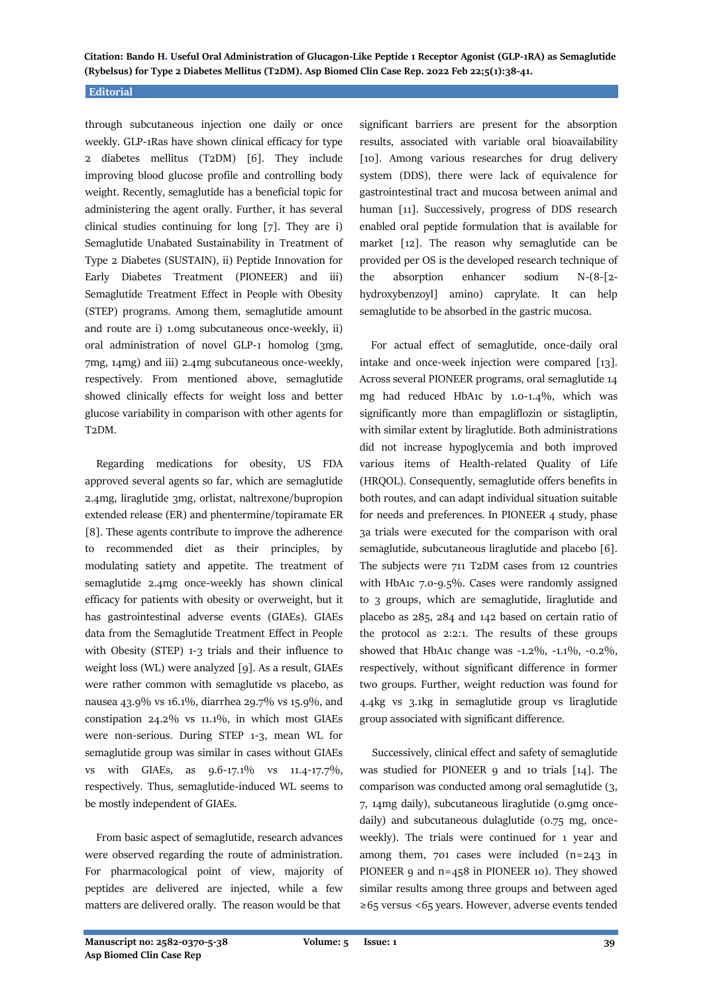**Citation: Bando H. Useful Oral Administration of Glucagon-Like Peptide 1 Receptor Agonist (GLP-1RA) as Semaglutide (Rybelsus) for Type 2 Diabetes Mellitus (T2DM). Asp Biomed Clin Case Rep. 2022 Feb 22;5(1):38-41.**

#### **Editorial**

through subcutaneous injection one daily or once weekly. GLP-1Ras have shown clinical efficacy for type 2 diabetes mellitus (T2DM) [6]. They include improving blood glucose profile and controlling body weight. Recently, semaglutide has a beneficial topic for administering the agent orally. Further, it has several clinical studies continuing for long [7]. They are i) Semaglutide Unabated Sustainability in Treatment of Type 2 Diabetes (SUSTAIN), ii) Peptide Innovation for Early Diabetes Treatment (PIONEER) and iii) Semaglutide Treatment Effect in People with Obesity (STEP) programs. Among them, semaglutide amount and route are i) 1.0mg subcutaneous once-weekly, ii) oral administration of novel GLP-1 homolog (3mg, 7mg, 14mg) and iii) 2.4mg subcutaneous once-weekly, respectively. From mentioned above, semaglutide showed clinically effects for weight loss and better glucose variability in comparison with other agents for T2DM.

 Regarding medications for obesity, US FDA approved several agents so far, which are semaglutide 2.4mg, liraglutide 3mg, orlistat, naltrexone/bupropion extended release (ER) and phentermine/topiramate ER [8]. These agents contribute to improve the adherence to recommended diet as their principles, by modulating satiety and appetite. The treatment of semaglutide 2.4mg once-weekly has shown clinical efficacy for patients with obesity or overweight, but it has gastrointestinal adverse events (GIAEs). GIAEs data from the Semaglutide Treatment Effect in People with Obesity (STEP) 1-3 trials and their influence to weight loss (WL) were analyzed [9]. As a result, GIAEs were rather common with semaglutide vs placebo, as nausea 43.9% vs 16.1%, diarrhea 29.7% vs 15.9%, and constipation 24.2% vs 11.1%, in which most GIAEs were non-serious. During STEP 1-3, mean WL for semaglutide group was similar in cases without GIAEs vs with GIAEs, as 9.6-17.1% vs 11.4-17.7%, respectively. Thus, semaglutide-induced WL seems to be mostly independent of GIAEs.

 From basic aspect of semaglutide, research advances were observed regarding the route of administration. For pharmacological point of view, majority of peptides are delivered are injected, while a few matters are delivered orally. The reason would be that

significant barriers are present for the absorption results, associated with variable oral bioavailability [10]. Among various researches for drug delivery system (DDS), there were lack of equivalence for gastrointestinal tract and mucosa between animal and human [11]. Successively, progress of DDS research enabled oral peptide formulation that is available for market [12]. The reason why semaglutide can be provided per OS is the developed research technique of the absorption enhancer sodium N-(8-[2 hydroxybenzoyl] amino) caprylate. It can help semaglutide to be absorbed in the gastric mucosa.

 For actual effect of semaglutide, once-daily oral intake and once-week injection were compared [13]. Across several PIONEER programs, oral semaglutide 14 mg had reduced HbA1c by 1.0-1.4%, which was significantly more than empagliflozin or sistagliptin, with similar extent by liraglutide. Both administrations did not increase hypoglycemia and both improved various items of Health-related Quality of Life (HRQOL). Consequently, semaglutide offers benefits in both routes, and can adapt individual situation suitable for needs and preferences. In PIONEER 4 study, phase 3a trials were executed for the comparison with oral semaglutide, subcutaneous liraglutide and placebo [6]. The subjects were 711 T2DM cases from 12 countries with HbA1c 7.0-9.5%. Cases were randomly assigned to 3 groups, which are semaglutide, liraglutide and placebo as 285, 284 and 142 based on certain ratio of the protocol as 2:2:1. The results of these groups showed that HbA1c change was -1.2%, -1.1%, -0.2%, respectively, without significant difference in former two groups. Further, weight reduction was found for 4.4kg vs 3.1kg in semaglutide group vs liraglutide group associated with significant difference.

 Successively, clinical effect and safety of semaglutide was studied for PIONEER 9 and 10 trials [14]. The comparison was conducted among oral semaglutide (3, 7, 14mg daily), subcutaneous liraglutide (0.9mg oncedaily) and subcutaneous dulaglutide (0.75 mg, onceweekly). The trials were continued for 1 year and among them, 701 cases were included (n=243 in PIONEER 9 and n=458 in PIONEER 10). They showed similar results among three groups and between aged ≥65 versus <65 years. However, adverse events tended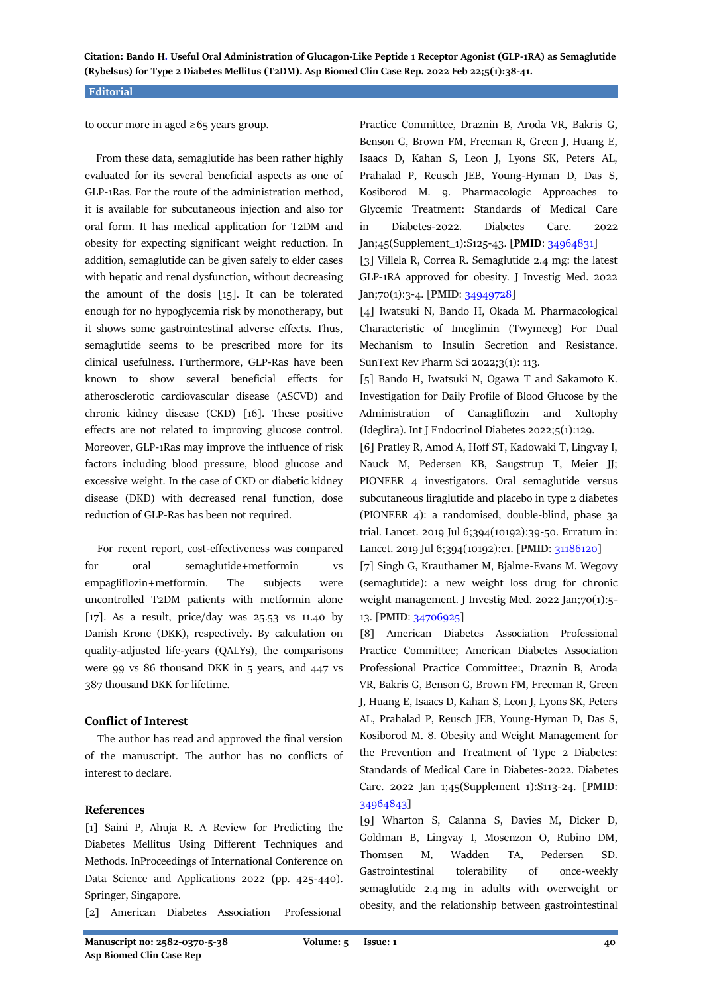**Citation: Bando H. Useful Oral Administration of Glucagon-Like Peptide 1 Receptor Agonist (GLP-1RA) as Semaglutide (Rybelsus) for Type 2 Diabetes Mellitus (T2DM). Asp Biomed Clin Case Rep. 2022 Feb 22;5(1):38-41.**

#### **Editorial**

to occur more in aged  $\geq 65$  years group.

 From these data, semaglutide has been rather highly evaluated for its several beneficial aspects as one of GLP-1Ras. For the route of the administration method, it is available for subcutaneous injection and also for oral form. It has medical application for T2DM and obesity for expecting significant weight reduction. In addition, semaglutide can be given safely to elder cases with hepatic and renal dysfunction, without decreasing the amount of the dosis [15]. It can be tolerated enough for no hypoglycemia risk by monotherapy, but it shows some gastrointestinal adverse effects. Thus, semaglutide seems to be prescribed more for its clinical usefulness. Furthermore, GLP-Ras have been known to show several beneficial effects for atherosclerotic cardiovascular disease (ASCVD) and chronic kidney disease (CKD) [16]. These positive effects are not related to improving glucose control. Moreover, GLP-1Ras may improve the influence of risk factors including blood pressure, blood glucose and excessive weight. In the case of CKD or diabetic kidney disease (DKD) with decreased renal function, dose reduction of GLP-Ras has been not required.

 For recent report, cost-effectiveness was compared for oral semaglutide+metformin vs empagliflozin+metformin. The subjects were uncontrolled T2DM patients with metformin alone [17]. As a result, price/day was 25.53 vs 11.40 by Danish Krone (DKK), respectively. By calculation on quality-adjusted life-years (QALYs), the comparisons were 99 vs 86 thousand DKK in 5 years, and 447 vs 387 thousand DKK for lifetime.

### **Conflict of Interest**

 The author has read and approved the final version of the manuscript. The author has no conflicts of interest to declare.

# **References**

[1] Saini P, Ahuja R. A Review for Predicting the Diabetes Mellitus Using Different Techniques and Methods. InProceedings of International Conference on Data Science and Applications 2022 (pp. 425-440). Springer, Singapore.

[2] American Diabetes Association Professional

Practice Committee, Draznin B, Aroda VR, Bakris G, Benson G, Brown FM, Freeman R, Green J, Huang E, Isaacs D, Kahan S, Leon J, Lyons SK, Peters AL, Prahalad P, Reusch JEB, Young-Hyman D, Das S, Kosiborod M. 9. Pharmacologic Approaches to Glycemic Treatment: Standards of Medical Care in Diabetes-2022. Diabetes Care. 2022 Jan;45(Supplement\_1):S125-43. [**PMID**: [34964831\]](https://europepmc.org/article/med/34964831)

[3] Villela R, Correa R. Semaglutide 2.4 mg: the latest GLP-1RA approved for obesity. J Investig Med. 2022 Jan;70(1):3-4. [**PMID**: [34949728\]](https://pubmed.ncbi.nlm.nih.gov/34949728/)

[4] Iwatsuki N, Bando H, Okada M. Pharmacological Characteristic of Imeglimin (Twymeeg) For Dual Mechanism to Insulin Secretion and Resistance. SunText Rev Pharm Sci 2022;3(1): 113.

[5] Bando H, Iwatsuki N, Ogawa T and Sakamoto K. Investigation for Daily Profile of Blood Glucose by the Administration of Canagliflozin and Xultophy (Ideglira). Int J Endocrinol Diabetes 2022;5(1):129.

[6] Pratley R, Amod A, Hoff ST, Kadowaki T, Lingvay I, Nauck M, Pedersen KB, Saugstrup T, Meier JJ; PIONEER 4 investigators. Oral semaglutide versus subcutaneous liraglutide and placebo in type 2 diabetes (PIONEER 4): a randomised, double-blind, phase 3a trial. Lancet. 2019 Jul 6;394(10192):39-50. Erratum in: Lancet. 2019 Jul 6;394(10192):e1. [**PMID**: [31186120\]](https://pubmed.ncbi.nlm.nih.gov/31186120/)

[7] Singh G, Krauthamer M, Bjalme-Evans M. Wegovy (semaglutide): a new weight loss drug for chronic weight management. J Investig Med. 2022 Jan;70(1):5-13. [**PMID**: [34706925\]](https://pubmed.ncbi.nlm.nih.gov/34706925/)

[8] American Diabetes Association Professional Practice Committee; American Diabetes Association Professional Practice Committee:, Draznin B, Aroda VR, Bakris G, Benson G, Brown FM, Freeman R, Green J, Huang E, Isaacs D, Kahan S, Leon J, Lyons SK, Peters AL, Prahalad P, Reusch JEB, Young-Hyman D, Das S, Kosiborod M. 8. Obesity and Weight Management for the Prevention and Treatment of Type 2 Diabetes: Standards of Medical Care in Diabetes-2022. Diabetes Care. 2022 Jan 1;45(Supplement\_1):S113-24. [**PMID**: [34964843\]](https://pubmed.ncbi.nlm.nih.gov/34964843/)

[9] Wharton S, Calanna S, Davies M, Dicker D, Goldman B, Lingvay I, Mosenzon O, Rubino DM, Thomsen M, Wadden TA, Pedersen SD. Gastrointestinal tolerability of once-weekly semaglutide 2.4 mg in adults with overweight or obesity, and the relationship between gastrointestinal